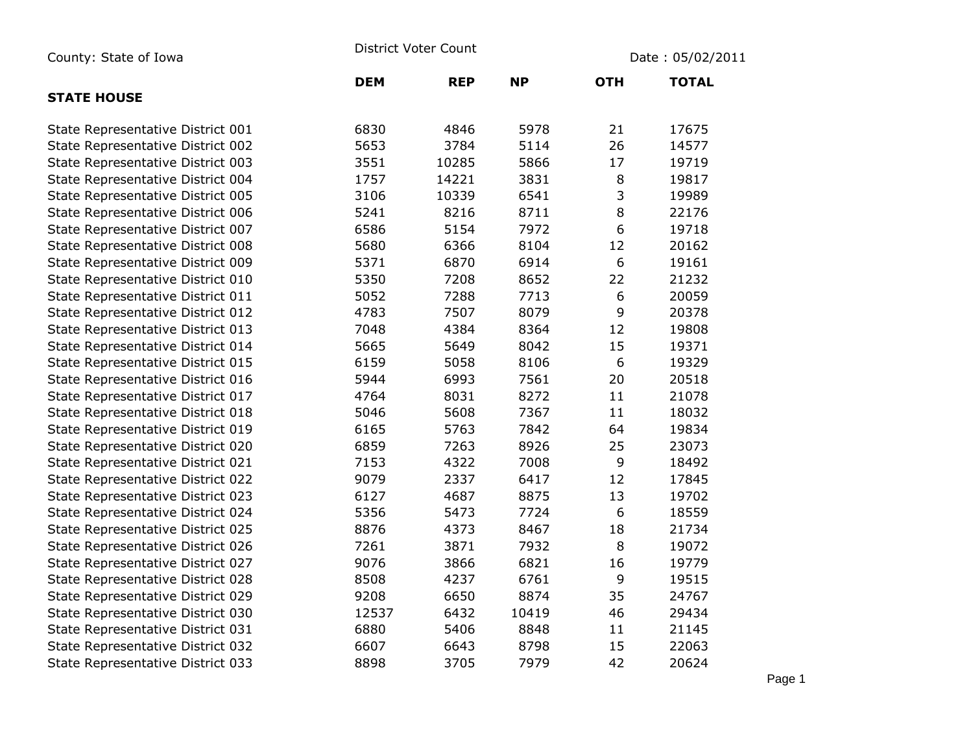| County: State of Iowa             | <b>District Voter Count</b> |            |           | Date: 05/02/2011 |              |  |
|-----------------------------------|-----------------------------|------------|-----------|------------------|--------------|--|
|                                   | <b>DEM</b>                  | <b>REP</b> | <b>NP</b> | <b>OTH</b>       | <b>TOTAL</b> |  |
| <b>STATE HOUSE</b>                |                             |            |           |                  |              |  |
| State Representative District 001 | 6830                        | 4846       | 5978      | 21               | 17675        |  |
| State Representative District 002 | 5653                        | 3784       | 5114      | 26               | 14577        |  |
| State Representative District 003 | 3551                        | 10285      | 5866      | 17               | 19719        |  |
| State Representative District 004 | 1757                        | 14221      | 3831      | 8                | 19817        |  |
| State Representative District 005 | 3106                        | 10339      | 6541      | 3                | 19989        |  |
| State Representative District 006 | 5241                        | 8216       | 8711      | 8                | 22176        |  |
| State Representative District 007 | 6586                        | 5154       | 7972      | 6                | 19718        |  |
| State Representative District 008 | 5680                        | 6366       | 8104      | 12               | 20162        |  |
| State Representative District 009 | 5371                        | 6870       | 6914      | 6                | 19161        |  |
| State Representative District 010 | 5350                        | 7208       | 8652      | 22               | 21232        |  |
| State Representative District 011 | 5052                        | 7288       | 7713      | 6                | 20059        |  |
| State Representative District 012 | 4783                        | 7507       | 8079      | 9                | 20378        |  |
| State Representative District 013 | 7048                        | 4384       | 8364      | 12               | 19808        |  |
| State Representative District 014 | 5665                        | 5649       | 8042      | 15               | 19371        |  |
| State Representative District 015 | 6159                        | 5058       | 8106      | 6                | 19329        |  |
| State Representative District 016 | 5944                        | 6993       | 7561      | 20               | 20518        |  |
| State Representative District 017 | 4764                        | 8031       | 8272      | 11               | 21078        |  |
| State Representative District 018 | 5046                        | 5608       | 7367      | 11               | 18032        |  |
| State Representative District 019 | 6165                        | 5763       | 7842      | 64               | 19834        |  |
| State Representative District 020 | 6859                        | 7263       | 8926      | 25               | 23073        |  |
| State Representative District 021 | 7153                        | 4322       | 7008      | 9                | 18492        |  |
| State Representative District 022 | 9079                        | 2337       | 6417      | 12               | 17845        |  |
| State Representative District 023 | 6127                        | 4687       | 8875      | 13               | 19702        |  |
| State Representative District 024 | 5356                        | 5473       | 7724      | 6                | 18559        |  |
| State Representative District 025 | 8876                        | 4373       | 8467      | 18               | 21734        |  |
| State Representative District 026 | 7261                        | 3871       | 7932      | 8                | 19072        |  |
| State Representative District 027 | 9076                        | 3866       | 6821      | 16               | 19779        |  |
| State Representative District 028 | 8508                        | 4237       | 6761      | 9                | 19515        |  |
| State Representative District 029 | 9208                        | 6650       | 8874      | 35               | 24767        |  |
| State Representative District 030 | 12537                       | 6432       | 10419     | 46               | 29434        |  |
| State Representative District 031 | 6880                        | 5406       | 8848      | 11               | 21145        |  |
| State Representative District 032 | 6607                        | 6643       | 8798      | 15               | 22063        |  |
| State Representative District 033 | 8898                        | 3705       | 7979      | 42               | 20624        |  |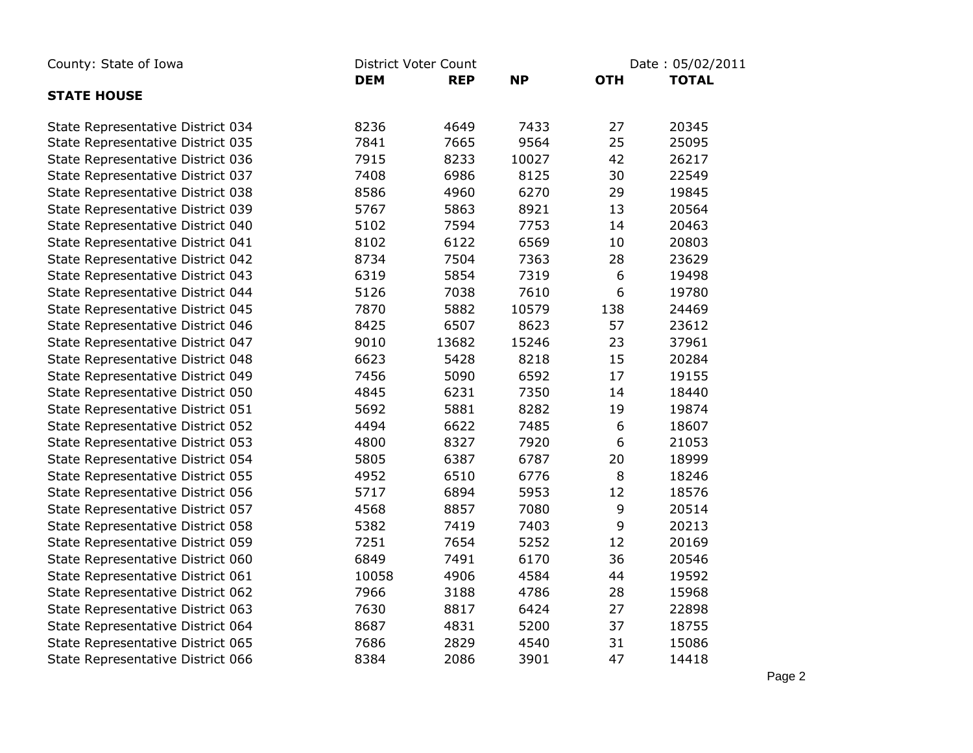| County: State of Iowa             | District Voter Count |            |           | Date: 05/02/2011 |              |  |
|-----------------------------------|----------------------|------------|-----------|------------------|--------------|--|
|                                   | <b>DEM</b>           | <b>REP</b> | <b>NP</b> | <b>OTH</b>       | <b>TOTAL</b> |  |
| <b>STATE HOUSE</b>                |                      |            |           |                  |              |  |
| State Representative District 034 | 8236                 | 4649       | 7433      | 27               | 20345        |  |
| State Representative District 035 | 7841                 | 7665       | 9564      | 25               | 25095        |  |
| State Representative District 036 | 7915                 | 8233       | 10027     | 42               | 26217        |  |
| State Representative District 037 | 7408                 | 6986       | 8125      | 30               | 22549        |  |
| State Representative District 038 | 8586                 | 4960       | 6270      | 29               | 19845        |  |
| State Representative District 039 | 5767                 | 5863       | 8921      | 13               | 20564        |  |
| State Representative District 040 | 5102                 | 7594       | 7753      | 14               | 20463        |  |
| State Representative District 041 | 8102                 | 6122       | 6569      | $10\,$           | 20803        |  |
| State Representative District 042 | 8734                 | 7504       | 7363      | 28               | 23629        |  |
| State Representative District 043 | 6319                 | 5854       | 7319      | $\boldsymbol{6}$ | 19498        |  |
| State Representative District 044 | 5126                 | 7038       | 7610      | 6                | 19780        |  |
| State Representative District 045 | 7870                 | 5882       | 10579     | 138              | 24469        |  |
| State Representative District 046 | 8425                 | 6507       | 8623      | 57               | 23612        |  |
| State Representative District 047 | 9010                 | 13682      | 15246     | 23               | 37961        |  |
| State Representative District 048 | 6623                 | 5428       | 8218      | 15               | 20284        |  |
| State Representative District 049 | 7456                 | 5090       | 6592      | 17               | 19155        |  |
| State Representative District 050 | 4845                 | 6231       | 7350      | 14               | 18440        |  |
| State Representative District 051 | 5692                 | 5881       | 8282      | 19               | 19874        |  |
| State Representative District 052 | 4494                 | 6622       | 7485      | 6                | 18607        |  |
| State Representative District 053 | 4800                 | 8327       | 7920      | 6                | 21053        |  |
| State Representative District 054 | 5805                 | 6387       | 6787      | 20               | 18999        |  |
| State Representative District 055 | 4952                 | 6510       | 6776      | $\,8\,$          | 18246        |  |
| State Representative District 056 | 5717                 | 6894       | 5953      | 12               | 18576        |  |
| State Representative District 057 | 4568                 | 8857       | 7080      | 9                | 20514        |  |
| State Representative District 058 | 5382                 | 7419       | 7403      | 9                | 20213        |  |
| State Representative District 059 | 7251                 | 7654       | 5252      | 12               | 20169        |  |
| State Representative District 060 | 6849                 | 7491       | 6170      | 36               | 20546        |  |
| State Representative District 061 | 10058                | 4906       | 4584      | 44               | 19592        |  |
| State Representative District 062 | 7966                 | 3188       | 4786      | 28               | 15968        |  |
| State Representative District 063 | 7630                 | 8817       | 6424      | 27               | 22898        |  |
| State Representative District 064 | 8687                 | 4831       | 5200      | 37               | 18755        |  |
| State Representative District 065 | 7686                 | 2829       | 4540      | 31               | 15086        |  |
| State Representative District 066 | 8384                 | 2086       | 3901      | 47               | 14418        |  |